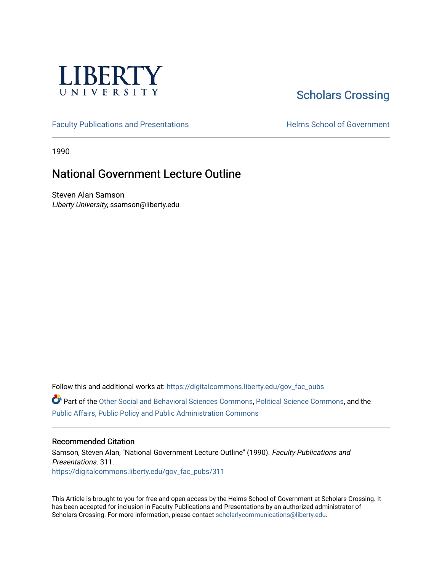

# [Scholars Crossing](https://digitalcommons.liberty.edu/)

[Faculty Publications and Presentations](https://digitalcommons.liberty.edu/gov_fac_pubs) **Exercise School of Government** 

1990

# National Government Lecture Outline

Steven Alan Samson Liberty University, ssamson@liberty.edu

Follow this and additional works at: [https://digitalcommons.liberty.edu/gov\\_fac\\_pubs](https://digitalcommons.liberty.edu/gov_fac_pubs?utm_source=digitalcommons.liberty.edu%2Fgov_fac_pubs%2F311&utm_medium=PDF&utm_campaign=PDFCoverPages)

Part of the [Other Social and Behavioral Sciences Commons](http://network.bepress.com/hgg/discipline/437?utm_source=digitalcommons.liberty.edu%2Fgov_fac_pubs%2F311&utm_medium=PDF&utm_campaign=PDFCoverPages), [Political Science Commons](http://network.bepress.com/hgg/discipline/386?utm_source=digitalcommons.liberty.edu%2Fgov_fac_pubs%2F311&utm_medium=PDF&utm_campaign=PDFCoverPages), and the [Public Affairs, Public Policy and Public Administration Commons](http://network.bepress.com/hgg/discipline/393?utm_source=digitalcommons.liberty.edu%2Fgov_fac_pubs%2F311&utm_medium=PDF&utm_campaign=PDFCoverPages)

#### Recommended Citation

Samson, Steven Alan, "National Government Lecture Outline" (1990). Faculty Publications and Presentations. 311. [https://digitalcommons.liberty.edu/gov\\_fac\\_pubs/311](https://digitalcommons.liberty.edu/gov_fac_pubs/311?utm_source=digitalcommons.liberty.edu%2Fgov_fac_pubs%2F311&utm_medium=PDF&utm_campaign=PDFCoverPages)

This Article is brought to you for free and open access by the Helms School of Government at Scholars Crossing. It has been accepted for inclusion in Faculty Publications and Presentations by an authorized administrator of Scholars Crossing. For more information, please contact [scholarlycommunications@liberty.edu.](mailto:scholarlycommunications@liberty.edu)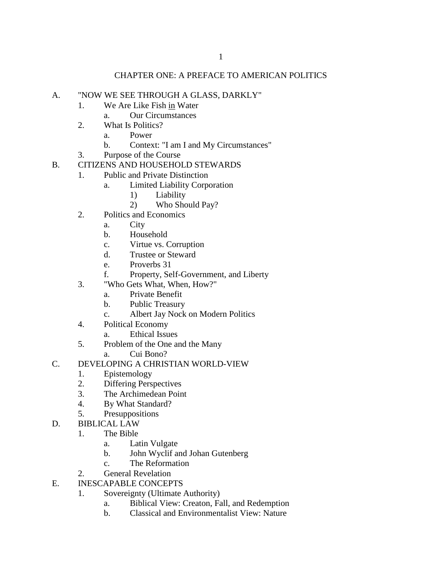#### CHAPTER ONE: A PREFACE TO AMERICAN POLITICS

#### A. "NOW WE SEE THROUGH A GLASS, DARKLY"

- 1. We Are Like Fish in Water
	- a. Our Circumstances
- 2. What Is Politics?
	- a. Power
	- b. Context: "I am I and My Circumstances"
- 3. Purpose of the Course
- B. CITIZENS AND HOUSEHOLD STEWARDS
	- 1. Public and Private Distinction
		- a. Limited Liability Corporation
			- 1) Liability
			- 2) Who Should Pay?
		- 2. Politics and Economics
			- a. City
			- b. Household
			- c. Virtue vs. Corruption
			- d. Trustee or Steward
			- e. Proverbs 31
			- f. Property, Self-Government, and Liberty
		- 3. "Who Gets What, When, How?"
			- a. Private Benefit
			- b. Public Treasury
			- c. Albert Jay Nock on Modern Politics
		- 4. Political Economy
			- a. Ethical Issues
		- 5. Problem of the One and the Many
			- a. Cui Bono?
- C. DEVELOPING A CHRISTIAN WORLD-VIEW
	- 1. Epistemology
	- 2. Differing Perspectives
	- 3. The Archimedean Point
	- 4. By What Standard?
	- 5. Presuppositions
- D. BIBLICAL LAW
	- 1. The Bible
		- a. Latin Vulgate
		- b. John Wyclif and Johan Gutenberg
		- c. The Reformation
	- 2. General Revelation
- E. INESCAPABLE CONCEPTS
	- 1. Sovereignty (Ultimate Authority)
		- a. Biblical View: Creaton, Fall, and Redemption
		- b. Classical and Environmentalist View: Nature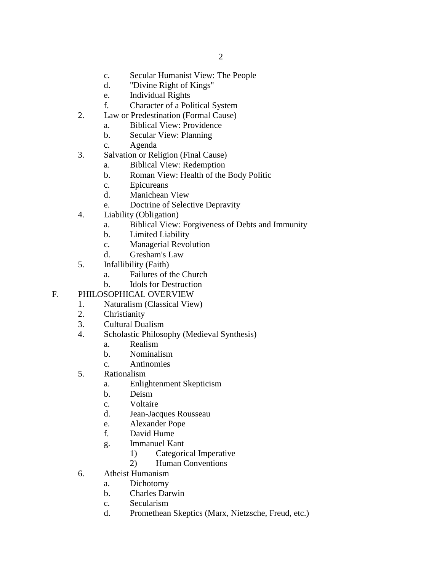- c. Secular Humanist View: The People
- d. "Divine Right of Kings"
- e. Individual Rights
- f. Character of a Political System
- 2. Law or Predestination (Formal Cause)
	- a. Biblical View: Providence
	- b. Secular View: Planning
	- c. Agenda
- 3. Salvation or Religion (Final Cause)
	- a. Biblical View: Redemption
	- b. Roman View: Health of the Body Politic
	- c. Epicureans
	- d. Manichean View
	- e. Doctrine of Selective Depravity
- 4. Liability (Obligation)
	- a. Biblical View: Forgiveness of Debts and Immunity
	- b. Limited Liability
	- c. Managerial Revolution
	- d. Gresham's Law
- 5. Infallibility (Faith)
	- a. Failures of the Church
	- b. Idols for Destruction

# F. PHILOSOPHICAL OVERVIEW

- 1. Naturalism (Classical View)
- 2. Christianity
- 3. Cultural Dualism
- 4. Scholastic Philosophy (Medieval Synthesis)
	- a. Realism
	- b. Nominalism
	- c. Antinomies
- 5. Rationalism
	- a. Enlightenment Skepticism
	- b. Deism
	- c. Voltaire
	- d. Jean-Jacques Rousseau
	- e. Alexander Pope
	- f. David Hume
	- g. Immanuel Kant
		- 1) Categorical Imperative
		- 2) Human Conventions
- 6. Atheist Humanism
	- a. Dichotomy
	- b. Charles Darwin
	- c. Secularism
	- d. Promethean Skeptics (Marx, Nietzsche, Freud, etc.)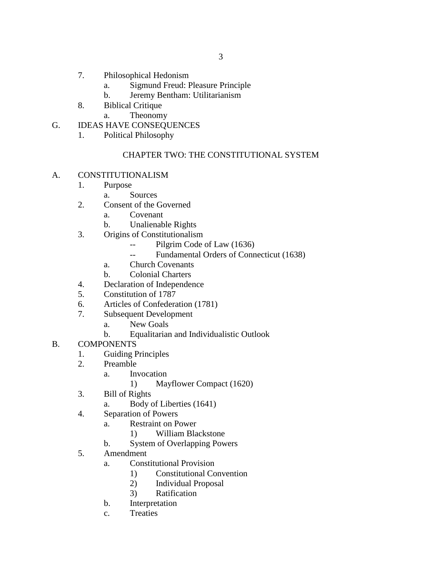- 7. Philosophical Hedonism
	- a. Sigmund Freud: Pleasure Principle
	- b. Jeremy Bentham: Utilitarianism
- 8. Biblical Critique
	- a. Theonomy
- G. IDEAS HAVE CONSEQUENCES
	- 1. Political Philosophy

# CHAPTER TWO: THE CONSTITUTIONAL SYSTEM

- A. CONSTITUTIONALISM
	- 1. Purpose
		- a. Sources
	- 2. Consent of the Governed
		- a. Covenant
		- b. Unalienable Rights
	- 3. Origins of Constitutionalism
		- -- Pilgrim Code of Law (1636)
		- -- Fundamental Orders of Connecticut (1638)
		- a. Church Covenants
		- b. Colonial Charters
	- 4. Declaration of Independence
	- 5. Constitution of 1787
	- 6. Articles of Confederation (1781)
	- 7. Subsequent Development
		- a. New Goals
		- b. Equalitarian and Individualistic Outlook
- B. COMPONENTS
	- 1. Guiding Principles
	- 2. Preamble
		- a. Invocation
			- 1) Mayflower Compact (1620)
	- 3. Bill of Rights
		- a. Body of Liberties (1641)
	- 4. Separation of Powers
		- a. Restraint on Power
			- 1) William Blackstone
		- b. System of Overlapping Powers
	- 5. Amendment
		- a. Constitutional Provision
			- 1) Constitutional Convention
			- 2) Individual Proposal
			- 3) Ratification
		- b. Interpretation
		- c. Treaties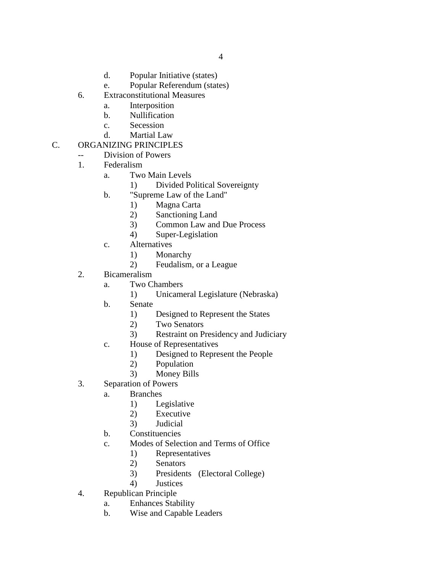- d. Popular Initiative (states)
- e. Popular Referendum (states)
- 6. Extraconstitutional Measures
	- a. Interposition
	- b. Nullification
	- c. Secession
	- d. Martial Law

# C. ORGANIZING PRINCIPLES

- -- Division of Powers
- 1. Federalism
	- a. Two Main Levels
		- 1) Divided Political Sovereignty
	- b. "Supreme Law of the Land"
		- 1) Magna Carta
		- 2) Sanctioning Land
		- 3) Common Law and Due Process
		- 4) Super-Legislation
	- c. Alternatives
		- 1) Monarchy
		- 2) Feudalism, or a League
- 2. Bicameralism
	- a. Two Chambers
		- 1) Unicameral Legislature (Nebraska)
	- b. Senate
		- 1) Designed to Represent the States
		- 2) Two Senators
		- 3) Restraint on Presidency and Judiciary
	- c. House of Representatives
		- 1) Designed to Represent the People
		- 2) Population
		- 3) Money Bills
- 3. Separation of Powers
	- a. Branches
		- 1) Legislative
		- 2) Executive
		- 3) Judicial
	- b. Constituencies
	- c. Modes of Selection and Terms of Office
		- 1) Representatives
		- 2) Senators
		- 3) Presidents (Electoral College)
		- 4) Justices
- 4. Republican Principle
	- a. Enhances Stability
	- b. Wise and Capable Leaders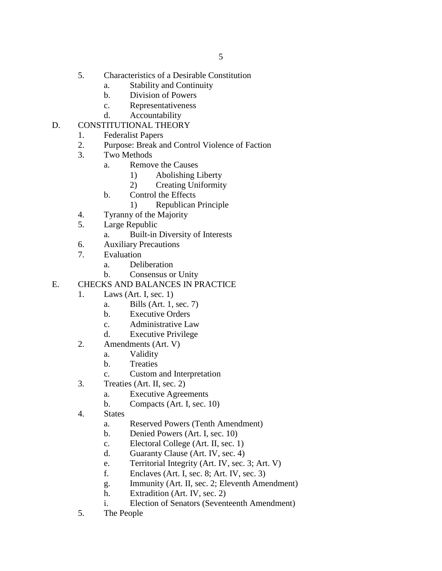- 5. Characteristics of a Desirable Constitution
	- a. Stability and Continuity
	- b. Division of Powers
	- c. Representativeness
	- d. Accountability
- D. CONSTITUTIONAL THEORY
	- 1. Federalist Papers
	- 2. Purpose: Break and Control Violence of Faction
	- 3. Two Methods
		- a. Remove the Causes
			- 1) Abolishing Liberty
				- 2) Creating Uniformity
		- b. Control the Effects
			- 1) Republican Principle
	- 4. Tyranny of the Majority
	- 5. Large Republic
		- a. Built-in Diversity of Interests
	- 6. Auxiliary Precautions
	- 7. Evaluation
		- a. Deliberation
		- b. Consensus or Unity
- E. CHECKS AND BALANCES IN PRACTICE
	- 1. Laws (Art. I, sec. 1)
		- a. Bills (Art. 1, sec. 7)
		- b. Executive Orders
		- c. Administrative Law
		- d. Executive Privilege
	- 2. Amendments (Art. V)
		- a. Validity
			- b. Treaties
			- c. Custom and Interpretation
	- 3. Treaties (Art. II, sec. 2)
		- a. Executive Agreements
		- b. Compacts (Art. I, sec. 10)
	- 4. States
		- a. Reserved Powers (Tenth Amendment)
		- b. Denied Powers (Art. I, sec. 10)
		- c. Electoral College (Art. II, sec. 1)
		- d. Guaranty Clause (Art. IV, sec. 4)
		- e. Territorial Integrity (Art. IV, sec. 3; Art. V)
		- f. Enclaves (Art. I, sec. 8; Art. IV, sec. 3)
		- g. Immunity (Art. II, sec. 2; Eleventh Amendment)
		- h. Extradition (Art. IV, sec. 2)
		- i. Election of Senators (Seventeenth Amendment)
	- 5. The People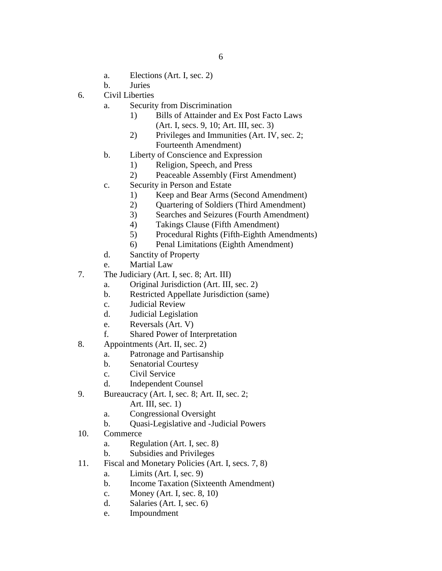- a. Elections (Art. I, sec. 2)
- b. Juries
- 6. Civil Liberties
	- a. Security from Discrimination
		- 1) Bills of Attainder and Ex Post Facto Laws (Art. I, secs. 9, 10; Art. III, sec. 3)
			- 2) Privileges and Immunities (Art. IV, sec. 2; Fourteenth Amendment)
	- b. Liberty of Conscience and Expression
		- 1) Religion, Speech, and Press
		- 2) Peaceable Assembly (First Amendment)
	- c. Security in Person and Estate
		- 1) Keep and Bear Arms (Second Amendment)
		- 2) Quartering of Soldiers (Third Amendment)
		- 3) Searches and Seizures (Fourth Amendment)
		- 4) Takings Clause (Fifth Amendment)
		- 5) Procedural Rights (Fifth-Eighth Amendments)
		- 6) Penal Limitations (Eighth Amendment)
	- d. Sanctity of Property
	- e. Martial Law
- 7. The Judiciary (Art. I, sec. 8; Art. III)
	- a. Original Jurisdiction (Art. III, sec. 2)
	- b. Restricted Appellate Jurisdiction (same)
	- c. Judicial Review
	- d. Judicial Legislation
	- e. Reversals (Art. V)
	- f. Shared Power of Interpretation
- 8. Appointments (Art. II, sec. 2)
	- a. Patronage and Partisanship
	- b. Senatorial Courtesy
	- c. Civil Service
	- d. Independent Counsel
- 9. Bureaucracy (Art. I, sec. 8; Art. II, sec. 2;
	- Art. III, sec. 1)
	- a. Congressional Oversight
	- b. Quasi-Legislative and -Judicial Powers
- 10. Commerce
	- a. Regulation (Art. I, sec. 8)
	- b. Subsidies and Privileges
- 11. Fiscal and Monetary Policies (Art. I, secs. 7, 8)
	- a. Limits (Art. I, sec. 9)
	- b. Income Taxation (Sixteenth Amendment)
	- c. Money (Art. I, sec. 8, 10)
	- d. Salaries (Art. I, sec. 6)
	- e. Impoundment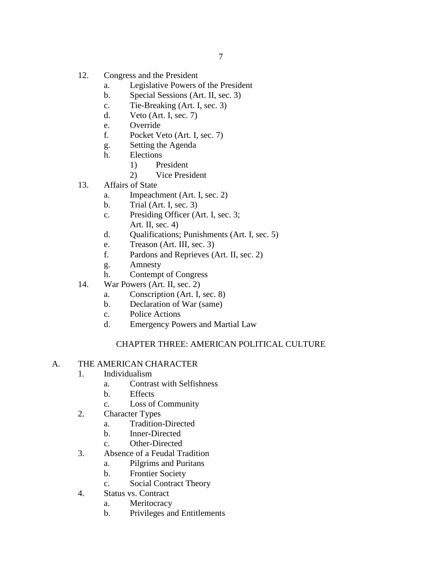- 12. Congress and the President
	- a. Legislative Powers of the President
	- b. Special Sessions (Art. II, sec. 3)
	- c. Tie-Breaking (Art. I, sec. 3)
	- d. Veto (Art. I, sec. 7)
	- e. Override
	- f. Pocket Veto (Art. I, sec. 7)
	- g. Setting the Agenda
	- h. Elections
		- 1) President
			- 2) Vice President
- 13. Affairs of State
	- a. Impeachment (Art. I, sec. 2)
	- b. Trial (Art. I, sec. 3)
	- c. Presiding Officer (Art. I, sec. 3;
		- Art. II, sec. 4)
	- d. Qualifications; Punishments (Art. I, sec. 5)
	- e. Treason (Art. III, sec. 3)
	- f. Pardons and Reprieves (Art. II, sec. 2)
	- g. Amnesty
	- h. Contempt of Congress
- 14. War Powers (Art. II, sec. 2)
	- a. Conscription (Art. I, sec. 8)
	- b. Declaration of War (same)
	- c. Police Actions
	- d. Emergency Powers and Martial Law

# CHAPTER THREE: AMERICAN POLITICAL CULTURE

#### A. THE AMERICAN CHARACTER

- 1. Individualism
	- a. Contrast with Selfishness
	- b. Effects
	- c. Loss of Community
- 2. Character Types
	- a. Tradition-Directed
	- b. Inner-Directed
	- c. Other-Directed
- 3. Absence of a Feudal Tradition
	- a. Pilgrims and Puritans
	- b. Frontier Society
	- c. Social Contract Theory
- 4. Status vs. Contract
	- a. Meritocracy
	- b. Privileges and Entitlements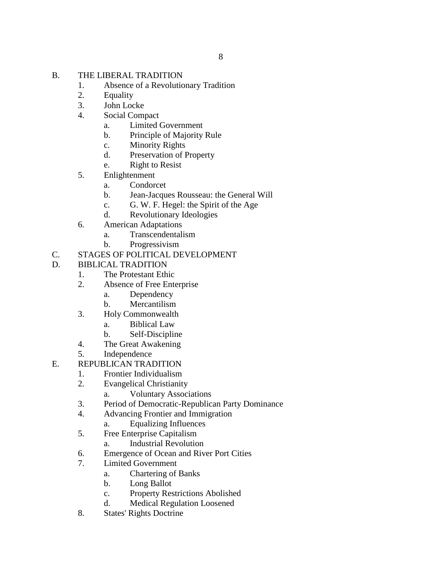- B. THE LIBERAL TRADITION
	- 1. Absence of a Revolutionary Tradition
	- 2. Equality
	- 3. John Locke
	- 4. Social Compact
		- a. Limited Government
		- b. Principle of Majority Rule
		- c. Minority Rights
		- d. Preservation of Property
		- e. Right to Resist
	- 5. Enlightenment
		- a. Condorcet
		- b. Jean-Jacques Rousseau: the General Will
		- c. G. W. F. Hegel: the Spirit of the Age
		- d. Revolutionary Ideologies
	- 6. American Adaptations
		- a. Transcendentalism
		- b. Progressivism
- C. STAGES OF POLITICAL DEVELOPMENT
- D. BIBLICAL TRADITION
	- 1. The Protestant Ethic
	- 2. Absence of Free Enterprise
		- a. Dependency
		- b. Mercantilism
	- 3. Holy Commonwealth
		- a. Biblical Law
		- b. Self-Discipline
	- 4. The Great Awakening
	- 5. Independence
- E. REPUBLICAN TRADITION
	- 1. Frontier Individualism
	- 2. Evangelical Christianity
		- a. Voluntary Associations
	- 3. Period of Democratic-Republican Party Dominance
	- 4. Advancing Frontier and Immigration
		- a. Equalizing Influences
	- 5. Free Enterprise Capitalism
		- a. Industrial Revolution
	- 6. Emergence of Ocean and River Port Cities
	- 7. Limited Government
		- a. Chartering of Banks
			- b. Long Ballot
			- c. Property Restrictions Abolished
			- d. Medical Regulation Loosened
	- 8. States' Rights Doctrine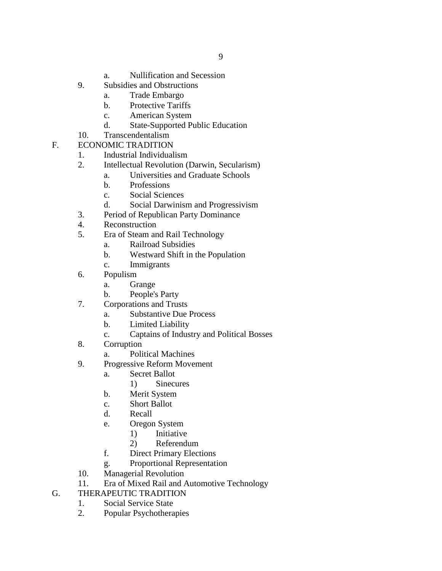- a. Nullification and Secession
- 9. Subsidies and Obstructions
	- a. Trade Embargo
	- b. Protective Tariffs
	- c. American System
	- d. State-Supported Public Education
- 10. Transcendentalism
- F. ECONOMIC TRADITION
	- 1. Industrial Individualism
	- 2. Intellectual Revolution (Darwin, Secularism)
		- a. Universities and Graduate Schools
			- b. Professions
			- c. Social Sciences
			- d. Social Darwinism and Progressivism
	- 3. Period of Republican Party Dominance
	- 4. Reconstruction
	- 5. Era of Steam and Rail Technology
		- a. Railroad Subsidies
		- b. Westward Shift in the Population
		- c. Immigrants
	- 6. Populism
		- a. Grange
		- b. People's Party
	- 7. Corporations and Trusts
		- a. Substantive Due Process
		- b. Limited Liability
		- c. Captains of Industry and Political Bosses
	- 8. Corruption
		- a. Political Machines
	- 9. Progressive Reform Movement
		- a. Secret Ballot
			- 1) Sinecures
		- b. Merit System
		- c. Short Ballot
		- d. Recall
		- e. Oregon System
			- 1) Initiative
			- 2) Referendum
		- f. Direct Primary Elections
		- g. Proportional Representation
	- 10. Managerial Revolution
	- 11. Era of Mixed Rail and Automotive Technology
- G. THERAPEUTIC TRADITION
	- 1. Social Service State
	- 2. Popular Psychotherapies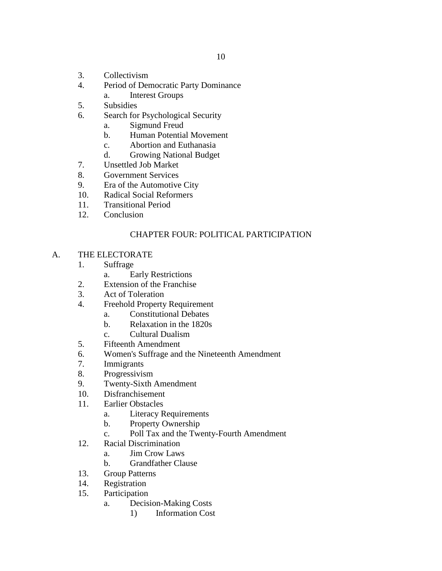- 3. Collectivism
- 4. Period of Democratic Party Dominance
	- a. Interest Groups
- 5. Subsidies
- 6. Search for Psychological Security
	- a. Sigmund Freud
	- b. Human Potential Movement
	- c. Abortion and Euthanasia
	- d. Growing National Budget
- 7. Unsettled Job Market<br>8. Government Services
- 8. Government Services
- 9. Era of the Automotive City
- 10. Radical Social Reformers
- 11. Transitional Period
- 12. Conclusion

#### CHAPTER FOUR: POLITICAL PARTICIPATION

- A. THE ELECTORATE
	- 1. Suffrage
		- a. Early Restrictions
	- 2. Extension of the Franchise
	- 3. Act of Toleration
	- 4. Freehold Property Requirement
		- a. Constitutional Debates
		- b. Relaxation in the 1820s
		- c. Cultural Dualism
	- 5. Fifteenth Amendment
	- 6. Women's Suffrage and the Nineteenth Amendment
	- 7. Immigrants
	- 8. Progressivism
	- 9. Twenty-Sixth Amendment
	- 10. Disfranchisement
	- 11. Earlier Obstacles
		- a. Literacy Requirements
		- b. Property Ownership
		- c. Poll Tax and the Twenty-Fourth Amendment
	- 12. Racial Discrimination
		- a. Jim Crow Laws
		- b. Grandfather Clause
	- 13. Group Patterns
	- 14. Registration
	- 15. Participation
		- a. Decision-Making Costs
			- 1) Information Cost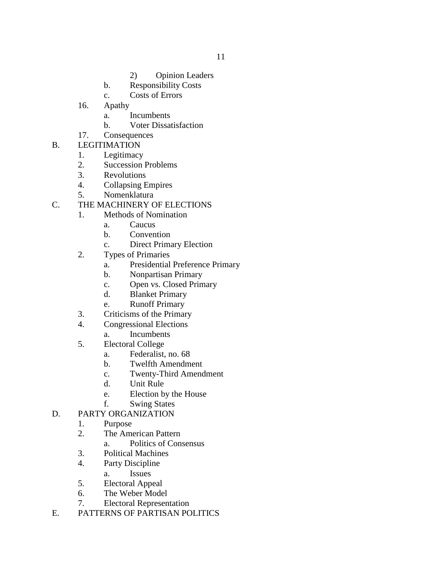- 2) Opinion Leaders
- b. Responsibility Costs
- c. Costs of Errors
- 16. Apathy
	- a. Incumbents
	- b. Voter Dissatisfaction
- 17. Consequences
- B. LEGITIMATION
	- 1. Legitimacy
	- 2. Succession Problems<br>3. Revolutions
	- **Revolutions**
	- 4. Collapsing Empires
	- 5. Nomenklatura
- C. THE MACHINERY OF ELECTIONS
	- 1. Methods of Nomination
		- a. Caucus
		- b. Convention
		- c. Direct Primary Election
	- 2. Types of Primaries
		- a. Presidential Preference Primary
		- b. Nonpartisan Primary
		- c. Open vs. Closed Primary
		- d. Blanket Primary
		- e. Runoff Primary
	- 3. Criticisms of the Primary
	- 4. Congressional Elections
		- a. Incumbents
	- 5. Electoral College
		- a. Federalist, no. 68
		- b. Twelfth Amendment
		- c. Twenty-Third Amendment
		- d. Unit Rule
		- e. Election by the House
	- f. Swing States
- D. PARTY ORGANIZATION
	- 1. Purpose
	- 2. The American Pattern
		- a. Politics of Consensus
	- 3. Political Machines
	- 4. Party Discipline
		- a. Issues
	- 5. Electoral Appeal
	- 6. The Weber Model
	- 7. Electoral Representation
- E. PATTERNS OF PARTISAN POLITICS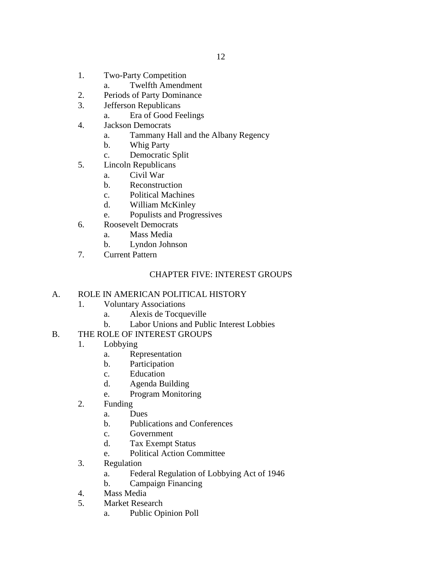- 1. Two-Party Competition
	- a. Twelfth Amendment
- 2. Periods of Party Dominance
- 3. Jefferson Republicans
	- a. Era of Good Feelings
- 4. Jackson Democrats
	- a. Tammany Hall and the Albany Regency
	- b. Whig Party
	- c. Democratic Split
- 5. Lincoln Republicans
	- a. Civil War
	- b. Reconstruction
	- c. Political Machines
	- d. William McKinley
	- e. Populists and Progressives
- 6. Roosevelt Democrats
	- a. Mass Media
		- b. Lyndon Johnson
- 7. Current Pattern

# CHAPTER FIVE: INTEREST GROUPS

# A. ROLE IN AMERICAN POLITICAL HISTORY

- 1. Voluntary Associations
	- a. Alexis de Tocqueville
	- b. Labor Unions and Public Interest Lobbies

# B. THE ROLE OF INTEREST GROUPS

- 1. Lobbying
	- a. Representation
	- b. Participation
	- c. Education
	- d. Agenda Building
	- e. Program Monitoring
- 2. Funding
	- a. Dues
	- b. Publications and Conferences
	- c. Government
	- d. Tax Exempt Status
	- e. Political Action Committee
- 3. Regulation
	- a. Federal Regulation of Lobbying Act of 1946
	- b. Campaign Financing
- 4. Mass Media
- 5. Market Research
	- a. Public Opinion Poll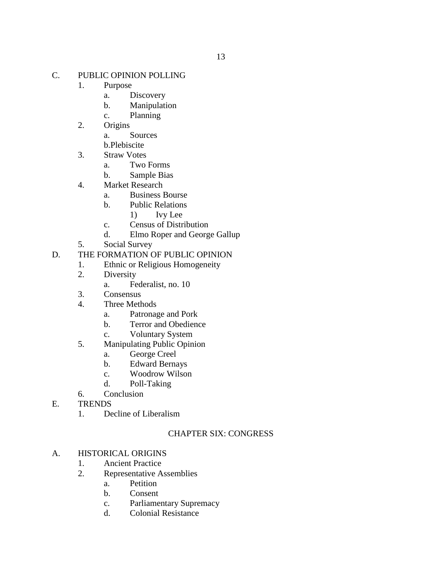#### C. PUBLIC OPINION POLLING

- 1. Purpose
	- a. Discovery
	- b. Manipulation
	- c. Planning
- 2. Origins
	- a. Sources
	- b.Plebiscite
- 3. Straw Votes
	- a. Two Forms
	- b. Sample Bias
- 4. Market Research
	- a. Business Bourse
	- b. Public Relations
		- 1) Ivy Lee
	- c. Census of Distribution
	- d. Elmo Roper and George Gallup
- 5. Social Survey
- D. THE FORMATION OF PUBLIC OPINION
	- 1. Ethnic or Religious Homogeneity
	- 2. Diversity
		- a. Federalist, no. 10
	- 3. Consensus
	- 4. Three Methods
		- a. Patronage and Pork
		- b. Terror and Obedience
		- c. Voluntary System
	- 5. Manipulating Public Opinion
		- a. George Creel
		- b. Edward Bernays
		- c. Woodrow Wilson
		- d. Poll-Taking
	- 6. Conclusion
- E. TRENDS
	- 1. Decline of Liberalism

# CHAPTER SIX: CONGRESS

#### A. HISTORICAL ORIGINS

- 1. Ancient Practice
- 2. Representative Assemblies
	- a. Petition
		- b. Consent
		- c. Parliamentary Supremacy
		- d. Colonial Resistance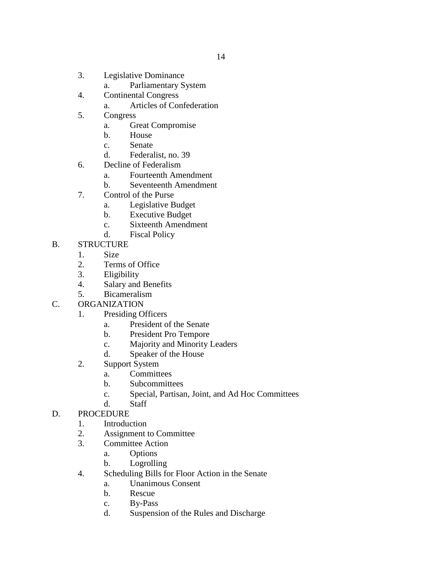- 3. Legislative Dominance
	- a. Parliamentary System
- 4. Continental Congress
	- a. Articles of Confederation
- 5. Congress
	- a. Great Compromise
	- b. House
	- c. Senate
	- d. Federalist, no. 39
- 6. Decline of Federalism
	- a. Fourteenth Amendment
	- b. Seventeenth Amendment
- 7. Control of the Purse
	- a. Legislative Budget
	- b. Executive Budget
	- c. Sixteenth Amendment
	- d. Fiscal Policy

#### B. STRUCTURE

- 1. Size
- 2. Terms of Office
- 3. Eligibility
- 4. Salary and Benefits
- 5. Bicameralism
- C. ORGANIZATION
	- 1. Presiding Officers
		- a. President of the Senate
		- b. President Pro Tempore
		- c. Majority and Minority Leaders
		- d. Speaker of the House
	- 2. Support System
		- a. Committees
		- b. Subcommittees
		- c. Special, Partisan, Joint, and Ad Hoc Committees
		- d. Staff

# D. PROCEDURE

- 1. Introduction
- 2. Assignment to Committee
- 3. Committee Action
	- a. Options
	- b. Logrolling
- 4. Scheduling Bills for Floor Action in the Senate
	- a. Unanimous Consent
	- b. Rescue
	- c. By-Pass
	- d. Suspension of the Rules and Discharge